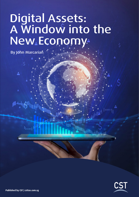# Digital Assets: A Window into the New Economy

By John Marcarian

الربراة

 $I_{\text{hom}}$ 

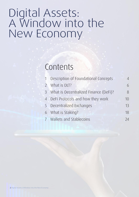# Digital Assets: A Window into the New Economy

## Contents

| 1 Description of Foundational Concepts  | Δ  |
|-----------------------------------------|----|
| 2 What is DLT?                          | 6  |
| 3 What is Decentralized Finance (DeFi)? | 8  |
| 4 DeFi Protocols and how they work      | 10 |
| 5 Decentralized Exchanges               | 13 |
| 6 What is Staking?                      | 18 |
| 7 Wallets and Stablecoins               | 74 |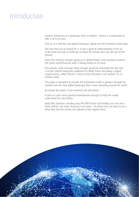## Introduction

Anyone staring out at a landscape from a window – knows it is impossible to take it all in at once.

And so, it is with the vast digital landscape taking over the financial world today.

The best that can be hoped for is to get a general understanding of the lay of the land and only to really get to know the terrain once you are out on the ground.

Given the massive changes going on in global finance and monetary systems the entire world financial order is being turned on its head.

Few people could envisage what changes would be unleashed the day that a certain Satoshi Nakamoto published his White Paper describing a digital cryptocurrency, titled "Bitcoin: A Peer-to-Peer Electronic Cash System" on 31 October 2008.

This paper is designed to provide the uninitiated reader a glimpse through the window into the new digital landscape that is now spreading around the world.

By design the paper is non-technical and descriptive.

It aims to cover some general foundational concepts to help the reader understand the area better.

Much like someone standing atop the Eiffel Tower and looking out over Paris – there will be a lot more discovery to be done – for those who are keen to do a deep dive into the streets and suburbs of the digital world.

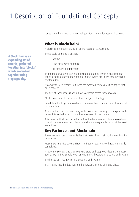## 1 Description of Foundational Concepts

Let us begin by asking some general questions around foundational concepts.

## **What is BlockChain?**

A blockchain to put simply, is an online record of transactions.

These could be transactions for:

- Money
- The movement of goods

Exchanges in information

Taking the above definition and building on it, a blockchain is an expanding set of records, gathered together into 'blocks' which are linked together using cryptography.

It's a way to keep records, but there are many other ideas built on top of that basic concept.

The first of these ideas is about how blockchain stores those records.

Most people refer to this as distributed ledger technology.

In a distributed ledger a record of every transaction is held in many locations at the same time.

As a result, every time something in the blockchain is changed, everyone in the network is alerted about it - and has to consent to the changes.

This makes a blockchain incredibly difficult to hack into and change records as it would require someone to be able to change every single record at the exact same time.

### **Key Factors about Blockchain**

There are a number of key variables that makes blockchain such an exhilarating innovation.

Most importantly it's decentralized. The internet today as we know it is mostly centralized.

A lot of the services and sites you visit, store and keep your data in a database. Your bank, Netflix, Google, you name it, they all operate in a centralized system.

The blockchain meanwhile, is a decentralized system.

That means that the data lives on the network, instead of in one place.

A Blockchain is an expanding set of records, gathered together into 'blocks' which are linked together using cryptography.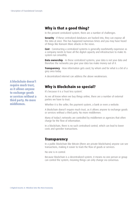## **Why is that a good thing?**

In the present centralized system, there are a number of challenges.

**Security** - If these centralized databases are hacked into, they can expose all the data at once. This has happened numerous times and you may have heard of things like Ransom Ware attacks in the news.

**Cost** – Constructing a centralized systems is generally exorbitantly expensive as a company needs to have all the digital capacity and infrastructure to make its system run smoothly.

**Data ownership** - In these centralized systems, your data is not your data and therefore the networks you give your data too make money out of it.

**Transparency** - How information gets used, by whom and for what is a bit of a grey area today.

A decentralized internet can address the above weaknesses.

## **Why is Blockchain so special?**

It's because it is a 'trust less system'.

As we all know when we buy things online, there are a number of external parties we have to trust.

Whether it is the seller, the payment system, a bank or even a website.

A blockchain doesn't require much trust, as it allows anyone to exchange goods or services without a third party. No more middlemen.

Many of today's networks are controlled by middlemen or agencies that often charge for the flow of information.

In a blockchain, there is no such centralised control, which can lead to lower costs and speedier transactions.

### **Transparency**

In a public blockchain like Bitcoin (there are private blockchains) anyone can see transactions, making it easier to track the flow of goods or services.

No one is in control.

Because blockchain is a decentralized system, it means no one person or group can control the system, meaning things can only change via consensus.

A blockchain doesn't require much trust, as it allows anyone to exchange goods or services without a third party. No more middlemen.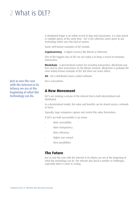## 2 What is DLT?

A distributed ledger is an online record of data and transactions. It is data stored in multiple places at the same time. DLT is the collective name given to any technology which uses this kind of system.

Some well-known examples of DLT include:

**Cryptocurrency** - A digital currency like Bitcoin or Ethereum.

One of the biggest uses of DLT we see today is to keep a record of monetary transactions

**Blockchain** - A decentralised system for recording transactions. Blockchain was first used to store transactions on the Bitcoin network. Blockchain is probably the most widely known example of DLT. But there are many others.

**Git** – Git is distributed source control software.

Git is everywhere.

### **A New Movement**

DLT's are creating a version of the internet that is both decentralised and distributed.

In a decentralised model, the value and benefits can be shared across a network of users.

Typically, large companies capture and control this value themselves.

If DLT's are built successfully it can mean:

- More accessibility
- More transparency
- More efficiency
- Higher user reward
- New possibilities

### **The Future**

Just as was the case with the internet in its infancy we are at the beginning of what this technology can do. The internet also faced a number of challenges, especially when it came to scaling.

Just as was the case with the internet in its infancy we are at the beginning of what this technology can do.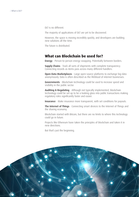DLT is no different.

The majority of applications of DLT are yet to be discovered.

However, the space is moving incredibly quickly, and developers are building new solutions all the time.

The future is distributed.

### **What can Blockchain be used for?**

Energy - Person-to-person energy swapping. Potentially between borders.

**Supply Chains** - Track all sorts of shipments with complete transparency. Connecting records as items pass across many different handlers.

**Open Data Marketplaces** - Large open-source platforms to exchange big-data anonymously. Data is often described as the lifeblood of internet businesses.

Governments - Blockchain technology could be used to increase speed and visibility in the public sector.

Auditing & Regulating - Although not typically implemented, blockchain technology could be set up to be a looking glass into public transactions making regulatory roles significantly faster and easier.

**Insurance** - Make insurance more transparent, with set conditions for payouts.

**The Internet of Things** - Connecting smart devices to the Internet of Things and the sharing economy.

Blockchain started with Bitcoin, but there are no limits to where this technology could go in future.

Projects like Ethereum have taken the principles of blockchain and taken it in new directions.

But that's just the beginning.

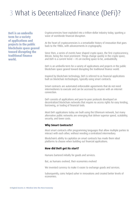## 3 What is Decentralized Finance (DeFi)?

DeFi is an umbrella term for a variety of applications and projects in the public blockchain space geared toward disrupting the traditional finance world.

Cryptocurrencies have exploded into a trillion-dollar industry today, sparking a wave of worldwide financial disruption.

At the heart of cryptocurrencies is a remarkable history of innovation that goes back to the 1980s, with advancements in cryptography.

Since then, a series of events have shaped crypto space, the first cryptocurrency, Bitcoin, being the most prominent. Things change quickly in the crypto space, and DeFi is a current trend  $-$  it's an exciting space to be, undoubtedly.

DeFi is an umbrella term for a variety of applications and projects in the public blockchain space geared toward disrupting the traditional finance world.

Inspired by blockchain technology, DeFi is referred to as financial applications built on blockchain technologies, typically using smart contracts.

Smart contracts are automated enforceable agreements that do not need intermediaries to execute and can be accessed by anyone with an internet connection.

DeFi consists of applications and peer-to-peer protocols developed on decentralized blockchain networks that require no access rights for easy lending, borrowing, or trading of financial tools.

Most DeFi applications today are built using the Ethereum network, but many alternative public networks are emerging that deliver superior speed, scalability, security, and lower costs.

#### **Why Smart Contracts?**

Most smart contracts offer programming languages that allow multiple parties to interact with each other, without needing a centralized intermediary.

Blockchain's ability to capitalize on smart contracts has made them ideal platforms to choose when building out financial applications.

#### **How did DeFi get its start?**

Humans bartered initially for goods and services.

But, as humans evolved, their economies evolved

We invented currency to make it easier to exchange goods and services.

Subsequently, coins helped usher in innovations and created better levels of economies.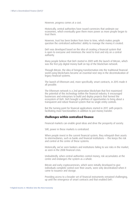However, progress comes at a cost.

Historically, central authorities have issued currencies that underpin our economies, which eventually gave them more power as more people began to trust them.

However, trust has been broken from time to time, which makes people question the centralized authorities' ability to manage the money it created.

DeFi was developed based on the idea of creating a financial system that is open to everyone and minimizes the need to trust and rely on a central authority.

Many people believe that DeFi started in 2009 with the launch of Bitcoin, which was the first p2p digital money built on top of the blockchain network.

Through Bitcoin, the idea of bringing transformation into the traditional financial world using blockchains became an essential next step in the decentralization of legacy financial systems.

The launch of Ethereum and, more specifically, smart contracts, in 2015 made it all possible.

The Ethereum network is a 2nd generation blockchain that first maximized the potential of this technology within the financial industry. It encouraged businesses and enterprises to build and deploy projects that formed the ecosystem of DeFi. DeFi brought a plethora of opportunities to bring about a transparent and robust financial system that no single entity controls.

But the turning point for financial applications started in 2017, with projects facilitating more functionalities in addition to just money transfer.

#### **Challenges within centralized finance**

Financial markets can enable great ideas and drive the prosperity of society.

Still, power in these markets is centralized.

When people invest in the current financial system, they relinquish their assets to intermediaries, such as banks and financial institutions — this keeps the risk and control at the centre of these systems.

Historically, we've seen bankers and institutions failing to see risks in the market, as seen in the 2008 financial crisis.

Undoubtedly, when central authorities control money, risk accumulates at the centre and endangers the system as a whole.

Bitcoin and early cryptocurrencies, which were initially developed to give individuals complete control over their assets, were only decentralized when it came to issuance and storage.

Providing access to a broader set of financial instruments remained challenging, up until the emergence of smart contracts and that enabled DeFi.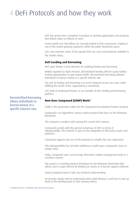## 4 DeFi Protocols and how they work

DeFi has grown into a complete ecosystem of working applications and protocols that deliver value to millions of users.

Assets worth over \$60 billion are currently locked in DeFi ecosystems, making it one of the fastest-growing segments within the public blockchain space.

Let's now examine some of the popular DeFi use cases and protocols available in the market today:

#### **DeFi Lending and Borrowing**

DeFi gave finance a new direction by enabling lending and borrowing.

Widely regarded as 'Open Finance', decentralized lending offered crypto holders lending opportunities to gain annual yields. Decentralized borrowing allowed individuals to borrow money at a specific interest rate.

The aim of lending and borrowing is to serve financial service use cases while fulfilling the needs of the cryptocurrency community.

Let's look at Compound Finance as an example of DeFi lending and borrowing platform.

Decentralized borrowing allows individuals to borrow money at a specific interest rate.

#### **How Does Compound (COMP) Work?**

COMP is the governance token for the Compound Decentralized Finance protocol.

Compound is an algorithmic money market protocol that lives on the Ethereum blockchain.

This network is credited with starting the current DeFi interest.

Compound accords with the general consensus of DeFi in terms of interoperability. The network is open to the integration of third-party assets and platforms.

Compound supports the use of API protocols to simplify the user experience.

This interoperability has led other platforms to build upon Compound's vision in unique ways.

Today, Compound users can leverage third-party market management tools in a seamless manner.

The project is a lending protocol developed on the Ethereum blockchain that allows users to gain interest by lending out assets or to borrow against collateral.

Using Compound doesn't take any technical understanding.

An investor simply need to understand what 'yield farming' is and how to lock up funds in the farming pools to start earning returns.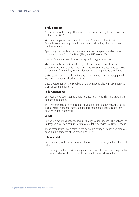#### **Yield Farming**

Compound was the first platform to introduce yield farming to the market in mid-summer 2020.

Yield farming protocols reside at the core of Compound's functionality. Currently, Compound supports the borrowing and lending of a selection of cryptocurrencies.

Specifically, you can lend and borrow a number of cryptocurrencies, some examples include Dai (DAI), Ether (ETH), and USD Coin (USDC).

Users of Compound earn interest by depositing cryptocurrencies.

Yield farming is similar to staking crypto in many ways. Users lock their cryptocurrency into large farming pools. The investor receives rewards based on the amount of crypto they lock and for how long they participate in the pool.

Unlike staking pools, yield farming pools feature much shorter lockup periods. Many offer no required lockup periods.

Once cryptocurrencies are supplied on the Compound platform, users can use them as collateral for loans.

#### **Fully Autonomous**

Compound leverages audited smart contracts to accomplish these tasks in an autonomous manner.

The network's contracts take care of all vital functions on the network. Tasks such as storage, management, and the facilitation of all pooled capital are handled by these protocols.

#### **Secure**

Compound maintains network security through various means. The network has undergone numerous security audits by reputable agencies like Open Zeppelin.

These organizations have certified the network's coding as sound and capable of handling the demands of the network securely.

#### **Interoperability**

Interoperability is the ability of computer systems to exchange information and value.

It is a catalyst for blockchain and cryptocurrency adoption as it has the potential to create a network of blockchains by building bridges between them.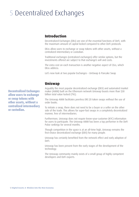## 5 Decentralized Exchanges

## **Introduction**

Decentralized Exchanges (DEx) are one of the essential functions of DeFi, with the maximum amount of capital locked compared to other DeFi protocols.

DExs allow users to exchange or swap tokens with other assets, without a centralized intermediary or custodian.

Traditional exchanges (centralized exchanges) offer similar options, but the investments offered are subject to that exchange's will and costs.

The extra cost on each transaction is another negative aspect of CExs, which DExs address.

Let's now look at two popular Exchanges – UniSwap & Pancake Swap

### **Uniswap**

Arguably the most popular decentralized exchange (DEX) and automated market maker (AMM) built on the Ethereum network Uniswap boasts more than \$30 billion total value locked (TVL).

The Uniswap AMM facilitates peerless ERC-20 token swaps without the use of order books.

To initiate a swap, there does not need to be a buyer or a seller on the other side of the trade. This allows for super-fast swaps in a completely decentralized manner, free of intermediaries.

Furthermore, Uniswap does not require know-your-customer (KYC) information for users to participate. The Uniswap AMM has been a top performer in the DeFi Pulse rankings for several months.

Though competition in the space is at an all-time high, Uniswap remains the first-choice decentralized exchange (DEX) for many people.

Uniswap has certainly benefited from the network effect and early adoption of DeFi.

Uniswap has been present from the early stages of the development of the technology.

The Uniswap community mainly exists of a small group of highly competent developers and DeFi experts.

Decentralized Exchanges allow users to exchange or swap tokens with other assets, without a centralized intermediary or custodian.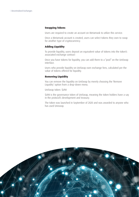#### **Swapping Tokens**

Users are required to create an account on Metamask to utilize this service.

Once a Metamask account is created, users can select tokens they own to swap for another type of cryptocurrency.

#### **Adding Liquidity**

To provide liquidity, users deposit an equivalent value of tokens into the token's associated exchange contract

Once you have tokens for liquidity, you can add them to a "pool" on the UniSwap interface.

Users who provide liquidity on UniSwap earn exchange fees, calculated per the value of tokens offered for liquidity.

#### **Removing Liquidity**

You can remove the liquidity on UniSwap by merely choosing the 'Remove Liquidity' option from a drop-down menu.

UniSwap token: \$UNI

\$UNI is the governance token of UniSwap, meaning the token holders have a say in the protocol's development and treasury.

The token was launched in September of 2020 and was awarded to anyone who has used Uniswap.

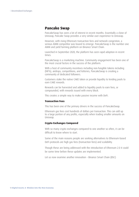### **Pancake Swap**

PancakeSwap has seen a lot of interest in recent months. Essentially a clone of Uniswap, Pancake Swap provides a very similar user experience to Uniswap.

However, with rising Ethereum transaction fees and network congestion, a serious AMM competitor was bound to emerge. PancakeSwap is the number one AMM and yield farming platform on Binance Smart Chain.

Launched in September 2020, the platform has seen rapid adoption in recent times.

PancakeSwap is a marketing machine. Community engagement has been one of the most crucial factors in the success of the platform.

With a host of community incentives including non-fungible tokens including (NFTs), airdrops, competitions, and lotteries, PancakeSwap is creating a community of dedicated followers.

Customers stake the native CAKE token or provide liquidity to lending pools to earn CAKE rewards.

Rewards can be harvested and added to liquidity pools to earn fees, or compounded, with rewards issued with every block.

This creates a simple way to make passive income with DeFi.

#### **Transaction Fees**

This has been one of the primary drivers in the success of PancakeSwap.

Ethereum gas fees cost hundreds of dollars per transaction. This can add up to a large portion of any profits, especially when trading smaller amounts on Uniswap.

#### **Crypto Exchanges Compared**

With so many crypto exchanges compared to one another so often, it can be difficult to know where to start.

Some of the main reasons people are seeking alternatives to Ethereum-based DeFi protocols are high gas fees (transaction fees) and scalability.

Though these are being addressed with the introduction of Ethereum 2.0 it could be some time before these updates are implemented.

Let us now examine another innovation – Binance Smart Chain (BSC)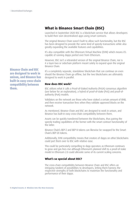## **What is Binance Smart Chain (BSC)**

Launched in September 2020 BSC is a blockchain service that allows developers to build their own decentralized apps using smart contracts.

The original Binance Chain wasn't built to allow such functionality, but the BSC has been designed to provide the same kind of speedy transactions while also greatly expanding the available features and capabilities.

It's also compatible with the Ethereum Virtual Machine (EVM) which means it's capable of running dapps ported over from Ethereum.

However, BSC isn't a rebranded version of the original Binance Chain, nor is it a layer-two or sidechain platform meant solely to expand upon the original Binance Chain.

Binance Chain and BSC are designed to work in unison, and Binance has built-in easy cross-chain compatibility between them.

It's a completely separate, standalone blockchain that can continue on even should the Binance Chain go offline, but the two blockchains are ultimately designed to work in parallel.

#### **How does BSC work?**

BSC utilizes what it calls a Proof-of-Staked Authority (PoSA) consensus algorithm (see below for an explanation), a hybrid of proof-of-stake (PoS) and proof-ofauthority (PoA) models.

Validators on the network are those who have staked a certain amount of BNB, and then receive transaction fees when they validate approved blocks on the network.

As mentioned, Binance Chain and BSC are designed to work in unison, and Binance has built-in easy cross-chain compatibility between them.

Assets can be quickly transferred between the blockchains, thus pairing the speedy trading capabilities of the former with the smart contract functionality of the latter.

Binance Chain's BEP-2 and BEP-8 tokens can likewise be swapped for the Smart Chain's BEP-20 tokens.

Additionally, EVM compatibility means that creators of dapps on other blockchains could port them over to BSC with relative ease.

This could be particularly compelling to dapp operators as Ethereum continues to grow and gas fees rise although Ethereum's planned shift to a proof-of-stake model in Ethereum 2.0 could alleviate some of its current scaling concerns.

#### **What's so special about BSC?**

The cross-chain compatibility between Binance Chain and BSC offers an intriguing tandem of possibilities to developers, letting them harness the respective strengths of both blockchains to maximize the functionality and performance of their dapps.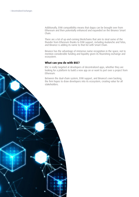0.01.10

16 **Digital Assets: A Window into the New Economy**

Additionally, EVM compatibility means that dapps can be brought over from Ethereum and then potentially enhanced and expanded on the Binance Smart Chain.

There are a lot of up-and-coming blockchains that aim to steal some of the thunder from Ethereum thanks to EVM support, including Avalanche and Telos, and Binance is adding its name to that list with Smart Chain.

Binance has the advantage of immense name recognition in the space, not to mention considerable funding and liquidity given its flourishing exchange and ecosystem.

#### **What can you do with BSC?**

BSC is really targeted at developers of decentralized apps, whether they are looking for a platform to build a new app on or want to port over a project from **Ethereum** 

Between the dual-chain system, EVM support, and Binance's own backing, the firm hopes to draw developers into its ecosystem, creating value for all stakeholders.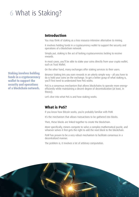## 6 What is Staking?

## **Introduction**

You may think of staking as a less resource-intensive alternative to mining.

It involves holding funds in a cryptocurrency wallet to support the security and operations of a blockchain network.

Simply put, staking is the act of locking cryptocurrencies locking to receive rewards.

In most cases, you'll be able to stake your coins directly from your crypto wallet, such as Trust Wallet.

On the other hand, many exchanges offer staking services to their users.

Binance Staking lets you earn rewards in an utterly simple way – all you have to do is hold your coins on the exchange. To get a better grasp of what staking is, you'll first need to understand how PoS works.

PoS is a consensus mechanism that allows blockchains to operate more energyefficiently while maintaining a decent degree of decentralization (at least, in theory).

Let's dive into what PoS is and how staking works.

## **What is PoS?**

If you know how Bitcoin works, you're probably familiar with PoW.

It's the mechanism that allows transactions to be gathered into blocks.

Then, these blocks are linked together to create the blockchain.

More specifically, miners compete to solve a complex mathematical puzzle, and whoever solves it first gets the right to add the next block to the blockchain.

PoW has proven to be a very robust mechanism to facilitate consensus in a decentralized manner.

The problem is, it involves a lot of arbitrary computation.



Staking involves holding funds in a cryptocurrency wallet to support the security and operations of a blockchain network.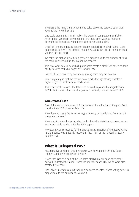The puzzle the miners are competing to solve serves no purpose other than keeping the network secure.

One could argue, this in itself makes this excess of computation justifiable. At this point, you might be wondering: are there other ways to maintain decentralized consensus without the high computational cost?

Enter PoS. The main idea is that participants can lock coins (their "stake"), and at particular intervals, the protocol randomly assigns the right to one of them to validate the next block.

Typically, the probability of being chosen is proportional to the number of coins – the more coins locked up, the higher the chances.

This way, what determines which participants create a block isn't based on their ability to solve hash challenges as it is with PoW.

Instead, it's determined by how many staking coins they are holding.

Some might argue that the production of blocks through staking enables a higher degree of scalability for blockchains.

This is one of the reasons the Ethereum network is planned to migrate from PoW to PoS in a set of technical upgrades collectively referred to as ETH 2.0.

#### **Who created PoS?**

One of the early appearances of PoS may be attributed to Sunny King and Scott Nadal in their 2012 paper for Peercoin.

They describe it as a "peer-to-peer cryptocurrency design derived from Satoshi Nakamoto's Bitcoin."

The Peercoin network was launched with a hybrid PoW/PoS mechanism, where PoW was mainly used to mint the initial supply.

However, it wasn't required for the long-term sustainability of the network, and its significance was gradually reduced. In fact, most of the network's security relied on PoS.

### **What is Delegated PoS?**

An alternative version of this mechanism was developed in 2014 by Daniel Larimer called Delegated Proof of Stake.

It was first used as a part of the BitShares blockchain, but soon after, other networks adopted the model. These include Steem and EOS, which were also created by Larimer.

DPoS allows users to commit their coin balances as votes, where voting power is proportional to the number of coins held.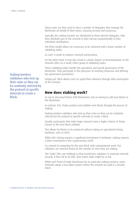These votes are then used to elect a number of delegates who manage the blockchain on behalf of their voters, ensuring security and consensus.

Typically, the staking rewards are distributed to these elected delegates, who then distribute part of the rewards to their electors proportionally to their individual contributions.

The DPoS model allows for consensus to be achieved with a lower number of validating nodes.

As such, it tends to enhance network performance.

On the other hand, it may also result in a lower degree of decentralization as the network relies on a small, select group of validating nodes.

These validating nodes handle the operations and overall governance of the blockchain. They participate in the processes of reaching consensus and defining key governance parameters.

Simply put, DPoS allows users to signal their influence through other participants of the network.

### **How does staking work?**

As we've discussed before PoW blockchains rely on mining to add new blocks to the blockchain.

In contrast, PoS, chains produce and validate new blocks through the process of staking.

Staking involves validators who lock up their coins so they can be randomly selected by the protocol at specific intervals to create a block.

Usually, participants that stake larger amounts have a higher chance of being chosen as the next block validator.

This allows for blocks to be produced without relying on specialized mining hardware, such as ASICs.

While ASIC mining requires a significant investment in hardware, staking requires a direct investment in the cryptocurrency itself.

So, instead of competing for the next block with computational work, PoS validators are selected based on the number of coins they are staking.

The "stake" (the coin holding) is what incentivizes validators to maintain network security. If they fail to do that, their entire stake might be at risk

While each Proof of Stake blockchain has its particular staking currency, some networks adopt a two-token system where the rewards are paid in a second token.

Staking involves validators who lock up their coins so they can be randomly selected by the protocol at specific intervals to create a block.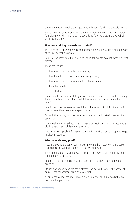On a very practical level, staking just means keeping funds in a suitable wallet.

This enables essentially anyone to perform various network functions in return for staking rewards. It may also include adding funds to a staking pool which we'll cover shortly.

#### **How are staking rewards calculated?**

There's no short answer here. Each blockchain network may use a different way of calculating staking rewards.

Some are adjusted on a block-by-block basis, taking into account many different factors.

These can include:

- how many coins the validator is staking
- how long the validator has been actively staking
- how many coins are staked on the network in total
- the inflation rate
- other factors

For some other networks, staking rewards are determined as a fixed percentage. These rewards are distributed to validators as a sort of compensation for inflation.

Inflation encourages users to spend their coins instead of holding them, which may increase their usage as cryptocurrency.

But with this model, validators can calculate exactly what staking reward they can expect.

A predictable reward schedule rather than a probabilistic chance of receiving a block reward may look favourable to some.

And since this is public information, it might incentivize more participants to get involved in staking.

#### **What is a staking pool?**

A staking pool is a group of coin holders merging their resources to increase their chances of validating blocks and receiving rewards.

They combine their staking power and share the rewards proportionally to their contributions to the pool.

Setting up and maintaining a staking pool often requires a lot of time and expertise.

Staking pools tend to be the most effective on networks where the barrier of entry (technical or financial) is relatively high.

As such, many pool providers charge a fee from the staking rewards that are distributed to participants.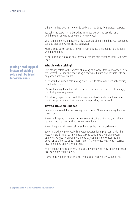Other than that, pools may provide additional flexibility for individual stakers.

Typically, the stake has to be locked in a fixed period and usually has a withdrawal or unbinding time set by the protocol.

What's more, there's almost certainly a substantial minimum balance required to stake to disincentivize malicious behaviour.

Most staking pools require a low minimum balance and append no additional withdrawal times.

As such, joining a staking pool instead of staking solo might be ideal for newer users.

#### **What is cold staking?**

Cold staking refers to the process of staking on a wallet that's not connected to the internet. This may be done using a hardware but it's also possible with an air-gapped software wallet.

Networks that support cold staking allow users to stake while securely holding their funds offline.

It's worth noting that if the stakeholder moves their coins out of cold storage, they'll stop receiving rewards.

Cold staking is particularly useful for large stakeholders who want to ensure maximum protection of their funds while supporting the network.

#### **How to stake on Binance**

In a way, you could think of holding your coins on Binance as adding them to a staking pool.

The only thing you have to do is hold your PoS coins on Binance, and all the technical requirements will be taken care of for you.

The staking rewards are usually distributed at the start of each month.

You can check the previously distributed rewards for a given coin under the Historical Yield tab on each project's staking page. PoS and staking opens up more avenues for anyone wishing to participate in the consensus and governance of blockchains. What's more, it's a very easy way to earn passive income earn by simply holding coins.

As it's getting increasingly easy to stake, the barriers of entry to the blockchain ecosystem are getting lower.

It's worth keeping in mind, though, that staking isn't entirely without risk.

Joining a staking pool instead of staking solo might be ideal for newer users.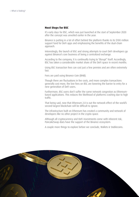#### **Next Steps for BSC**

It's early days for BSC, which was just launched at the start of September 2020 after the concept was unveiled earlier in the year.

Binance is putting in a lot of effort behind the platform thanks to its \$100 million support fund for DeFi apps and emphasizing the benefits of the dual-chain approach.

Interestingly, the launch of BSC and strong attempts to court DeFi developers go against Binance's core business of being a centralized exchange.

According to the company, it is continually trying to "disrupt" itself. Accordingly, BSC has taken a considerable market share of the DeFi space in recent months.

Using BSC transaction fees can cost just a few pennies and are often extremely fast.

Fees are paid using Binance Coin (BNB).

Though there are fluctuations in fee costs, and more complex transactions generally cost more, the low fees on BSC are lowering the barrier to entry for a new generation of DeFi users.

Furthermore, BSC users don't suffer the same network congestion as Ethereumbased applications. This reduces the likelihood of platforms crashing due to high traffic.

That being said, now that Ethereum 2.0 is out the network effect of the world's second-largest blockchain will be difficult to ignore.

The infrastructure built on Ethereum has created a community and network of developers like no other project in the crypto space.

Although all cryptocurrency and DeFi investments come with inherent risk, PancakeSwap does have the support of the Binance ecosystem.

A couple more things to explore before we conclude, Wallets & Stablecoins.

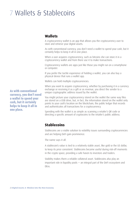## 7 Wallets & Stablecoins

## **Wallets**

A cryptocurrency wallet is an app that allows you the cryptocurrency user to store and retrieve your digital assets.

As with conventional currency, you don't need a wallet to spend your cash, but it certainly helps to keep it all in one place.

When a user acquires cryptocurrency, such as bitcoins she can store it in a cryptocurrency wallet and from there use it to make transactions.

Cryptocurrency wallets are apps just like those you might run on a smartphone or computer.

If you prefer the tactile experience of holding a wallet, you can also buy a physical device that runs a wallet app.

Wallets can hold multiple cryptocurrencies.

When you want to acquire cryptocurrency, whether by purchasing it in a currency exchange or receiving it as a gift or as revenue, you direct the sender to a unique cryptographic address issued by the wallet.

You might picture your cryptocurrency stored on the wallet the same way files are stored on a USB drive, but, in fact, the information stored on the wallet only points to your cash's location on the blockchain, the public ledger that records and authenticates all transactions for a cryptocurrency.

Spending with the wallet is as simple as scanning a retailer's QR code or directing a specific amount of cryptocoins to the retailer's public address.

## **Stablecoins**

Stablecoins are a viable solution to volatility issues surrounding cryptocurrencies and are helping DeFi gain prominence.

The name says it all.

A stablecoin's value is tied to a relatively stable asset, like gold or the US dollar, to keep its price consistent. Stablecoins became useful during risk-off moments in the crypto space, providing a safe haven to investors and traders.

Stability makes them a reliable collateral asset. Stablecoins also play an important role in liquidity pools — an integral part of the DeFi ecosystem and DExs.

As with conventional currency, you don't need a wallet to spend your cash, but it certainly helps to keep it all in one place.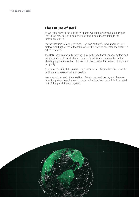## **The Future of DeFi**

As we mentioned at the start of this paper, we are now observing a quantum leap in the new possibilities of the functionalities of money through the innovation of DLT's.

For the first time in history everyone can take part in the governance of DeFi protocols and get a seat at the table where the world of decentralized finance is actively created.

The DeFi space is gradually catching up with the traditional financial system and despite some of the obstacles which are evident when one operates on the bleeding edge of innovation, the world of decentralized finance is on the path to prosperity.

Over time, it's difficult to predict how this space will shape when the power to build financial services will democratize.

However, at the point where DeFI and fintech map and merge, we'll have an inflection point where the new financial technology becomes a fully integrated part of the global financial system.

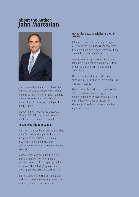## **About the Author John Marcarian**



John is an Australian Chartered Accountant with over 25 years of experience. Having founded CST Tax Advisors in 1992, John has in-depth knowledge of international tax matters for both businesses and globally mobile expats.

In 2004 John established the Singapore Office of CST. CST now has offices in a number of cities around the world.

#### Recognised Thought Leader

John has had a number of articles published in the Tax Specialist, a publication of the Institute of Chartered Accountants of Australia, and the Tax Yearbook, a publication of the International Tax Planning Association.

Most recently, John has published two books; 'Expatland', which is aimed at assisting potential global expats plan their move and 'The CST Way' a professional services book for Global Accounting Firms.

John is a sought-after speaker on tax and business matters and regularly presents to business groups around the world.

#### Recognised Tax Specialist in Digital Assets

John has a deep understanding of digital assets and the Fourth Industrial Revolution presently underway around the world in the area of blockchain and digital assets.

A recognised tax specialist in digital assets, John has a qualification from the MIT Sloan School of Management in BlockChain technologies.

He has contributed tax expertise to a specialist US publication on international tax and digital assets.

He works regularly with companies issuing tokens and other forms of digital assets. This unique blend of skills gives John a practical day to day knowledge of the business challenges faced by entrepreneurs in the digital asset market.